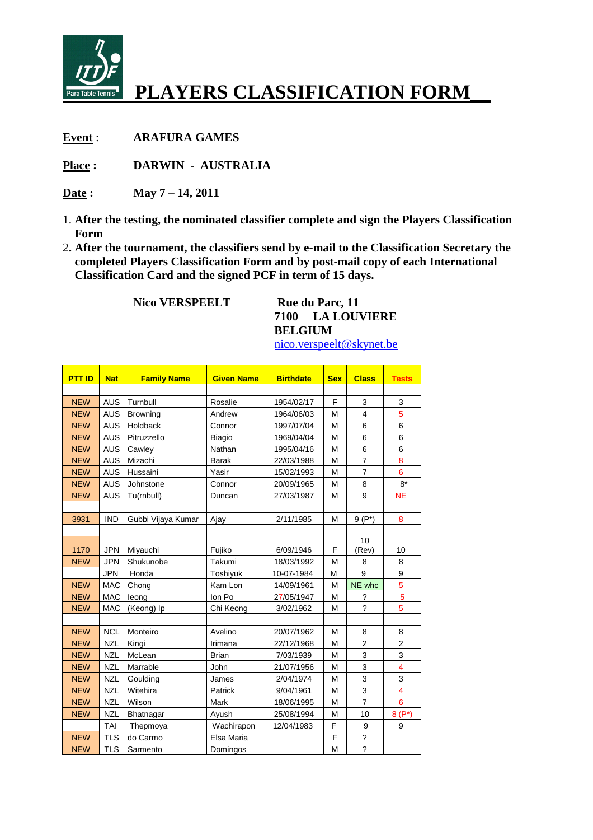

## **PLAYERS CLASSIFICATION FORM\_\_**

**Event** : **ARAFURA GAMES** 

**Place : DARWIN - AUSTRALIA** 

**Date : May 7 – 14, 2011** 

- 1. **After the testing, the nominated classifier complete and sign the Players Classification Form**
- 2**. After the tournament, the classifiers send by e-mail to the Classification Secretary the completed Players Classification Form and by post-mail copy of each International Classification Card and the signed PCF in term of 15 days.**

**Nico VERSPEELT** Rue du Parc, 11

**7100 LA LOUVIERE BELGIUM** 

nico.verspeelt@skynet.be

| <b>PTT ID</b> | <b>Nat</b> | <b>Family Name</b> | <b>Given Name</b> | <b>Birthdate</b> | <b>Sex</b> | <b>Class</b>   | <b>Tests</b>            |
|---------------|------------|--------------------|-------------------|------------------|------------|----------------|-------------------------|
|               |            |                    |                   |                  |            |                |                         |
| <b>NEW</b>    | <b>AUS</b> | Turnbull           | Rosalie           | 1954/02/17       | F          | 3              | 3                       |
| <b>NEW</b>    | <b>AUS</b> | <b>Browning</b>    | Andrew            | 1964/06/03       | M          | $\overline{4}$ | 5                       |
| <b>NEW</b>    | <b>AUS</b> | Holdback           | Connor            | 1997/07/04       | M          | 6              | 6                       |
| <b>NEW</b>    | <b>AUS</b> | Pitruzzello        | <b>Biagio</b>     | 1969/04/04       | M          | 6              | 6                       |
| <b>NEW</b>    | <b>AUS</b> | Cawley             | Nathan            | 1995/04/16       | M          | 6              | 6                       |
| <b>NEW</b>    | <b>AUS</b> | Mizachi            | <b>Barak</b>      | 22/03/1988       | M          | $\overline{7}$ | 8                       |
| <b>NEW</b>    | <b>AUS</b> | Hussaini           | Yasir             | 15/02/1993       | M          | $\overline{7}$ | 6                       |
| <b>NEW</b>    | <b>AUS</b> | Johnstone          | Connor            | 20/09/1965       | M          | 8              | $8*$                    |
| <b>NEW</b>    | <b>AUS</b> | Tu(rnbull)         | Duncan            | 27/03/1987       | M          | 9              | <b>NE</b>               |
|               |            |                    |                   |                  |            |                |                         |
| 3931          | <b>IND</b> | Gubbi Vijaya Kumar | Ajay              | 2/11/1985        | M          | $9(P^*)$       | 8                       |
|               |            |                    |                   |                  |            |                |                         |
|               |            |                    |                   |                  |            | 10             |                         |
| 1170          | <b>JPN</b> | Miyauchi           | Fujiko            | 6/09/1946        | F          | (Rev)          | 10                      |
| <b>NEW</b>    | <b>JPN</b> | Shukunobe          | Takumi            | 18/03/1992       | M          | 8              | 8                       |
|               | <b>JPN</b> | Honda              | Toshiyuk          | 10-07-1984       | M          | 9              | 9                       |
| <b>NEW</b>    | <b>MAC</b> | Chong              | Kam Lon           | 14/09/1961       | M          | NE whc         | 5                       |
| <b>NEW</b>    | <b>MAC</b> | leong              | Ion Po            | 27/05/1947       | M          | ?              | $\overline{5}$          |
| <b>NEW</b>    | MAC        | (Keong) Ip         | Chi Keong         | 3/02/1962        | M          | $\gamma$       | 5                       |
|               |            |                    |                   |                  |            |                |                         |
| <b>NEW</b>    | <b>NCL</b> | Monteiro           | Avelino           | 20/07/1962       | M          | 8              | 8                       |
| <b>NEW</b>    | <b>NZL</b> | Kingi              | Irimana           | 22/12/1968       | M          | $\overline{2}$ | 2                       |
| <b>NEW</b>    | <b>NZL</b> | McLean             | <b>Brian</b>      | 7/03/1939        | M          | 3              | 3                       |
| <b>NEW</b>    | <b>NZL</b> | Marrable           | John              | 21/07/1956       | M          | 3              | $\overline{4}$          |
| <b>NEW</b>    | <b>NZL</b> | Goulding           | James             | 2/04/1974        | M          | 3              | 3                       |
| <b>NEW</b>    | <b>NZL</b> | Witehira           | Patrick           | 9/04/1961        | M          | 3              | $\overline{\mathbf{4}}$ |
| <b>NEW</b>    | <b>NZL</b> | Wilson             | Mark              | 18/06/1995       | M          | $\overline{7}$ | 6                       |
| <b>NEW</b>    | <b>NZL</b> | Bhatnagar          | Ayush             | 25/08/1994       | M          | 10             | $8(P^*)$                |
|               | TAI        | Thepmoya           | Wachirapon        | 12/04/1983       | F          | 9              | 9                       |
| <b>NEW</b>    | <b>TLS</b> | do Carmo           | Elsa Maria        |                  | F          | $\tilde{?}$    |                         |
| <b>NEW</b>    | <b>TLS</b> | Sarmento           | Domingos          |                  | M          | $\overline{?}$ |                         |